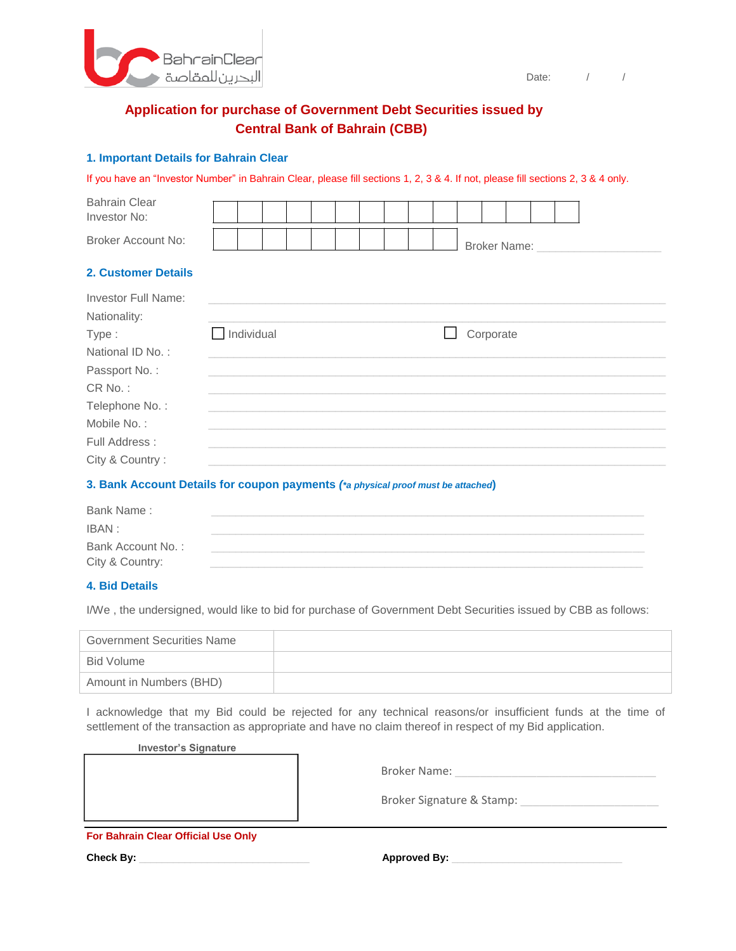

Date: / /

# **Application for purchase of Government Debt Securities issued by Central Bank of Bahrain (CBB)**

#### **1. Important Details for Bahrain Clear**

If you have an "Investor Number" in Bahrain Clear, please fill sections 1, 2, 3 & 4. If not, please fill sections 2, 3 & 4 only.

| <b>Bahrain Clear</b>       |            |  |  |  |  |                     |  |  |  |
|----------------------------|------------|--|--|--|--|---------------------|--|--|--|
| Investor No:               |            |  |  |  |  |                     |  |  |  |
| <b>Broker Account No:</b>  |            |  |  |  |  | <b>Broker Name:</b> |  |  |  |
| <b>2. Customer Details</b> |            |  |  |  |  |                     |  |  |  |
| <b>Investor Full Name:</b> |            |  |  |  |  |                     |  |  |  |
| Nationality:               |            |  |  |  |  |                     |  |  |  |
| Type:                      | Individual |  |  |  |  | Corporate           |  |  |  |
| National ID No.:           |            |  |  |  |  |                     |  |  |  |
| Passport No.:              |            |  |  |  |  |                     |  |  |  |
| CR No.:                    |            |  |  |  |  |                     |  |  |  |
| Telephone No.:             |            |  |  |  |  |                     |  |  |  |
| Mobile No.:                |            |  |  |  |  |                     |  |  |  |
| Full Address:              |            |  |  |  |  |                     |  |  |  |
| City & Country:            |            |  |  |  |  |                     |  |  |  |

### **3. Bank Account Details for coupon payments** *(\*a physical proof must be attached***)**

| Bank Name:        |  |
|-------------------|--|
| IBAN :            |  |
| Bank Account No.: |  |
| City & Country:   |  |

#### **4. Bid Details**

I/We , the undersigned, would like to bid for purchase of Government Debt Securities issued by CBB as follows:

| <b>Government Securities Name</b> |  |
|-----------------------------------|--|
| Bid Volume                        |  |
| Amount in Numbers (BHD)           |  |

I acknowledge that my Bid could be rejected for any technical reasons/or insufficient funds at the time of settlement of the transaction as appropriate and have no claim thereof in respect of my Bid application.

#### **Investor's Signature**

| <b>Broker Name:</b>       |
|---------------------------|
| Broker Signature & Stamp: |

**For Bahrain Clear Official Use Only**

**Check By:** \_\_\_\_\_\_\_\_\_\_\_\_\_\_\_\_\_\_\_\_\_\_\_\_\_\_\_\_\_\_ **Approved By:** \_\_\_\_\_\_\_\_\_\_\_\_\_\_\_\_\_\_\_\_\_\_\_\_\_\_\_\_\_\_